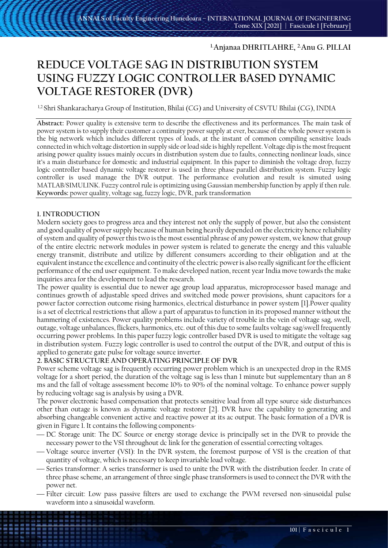# **1.Anjanaa DHRITLAHRE, 2. Anu G. PILLAI**

# **REDUCE VOLTAGE SAG IN DISTRIBUTION SYSTEM USING FUZZY LOGIC CONTROLLER BASED DYNAMIC VOLTAGE RESTORER (DVR)**

1,2. Shri Shankaracharya Group of Institution, Bhilai (CG) and University of CSVTU Bhilai (CG), INDIA

**Abstract:** Power quality is extensive term to describe the effectiveness and its performances. The main task of power system is to supply their customer a continuity power supply at ever, because of the whole power system is the big network which includes different types of loads, at the instant of common compiling sensitive loads connected in which voltage distortion in supply side or load side is highly repellent. Voltage dip is the most frequent arising power quality issues mainly occurs in distribution system due to faults, connecting nonlinear loads, since it's a main disturbance for domestic and industrial equipment. In this paper to diminish the voltage drop, fuzzy logic controller based dynamic voltage restorer is used in three phase parallel distribution system. Fuzzy logic controller is used manage the DVR output. The performance evolution and result is simuted using MATLAB/SIMULINK. Fuzzy control rule is optimizing using Gaussian membership function by apply if then rule. **Keywords:** power quality, voltage sag, fuzzy logic, DVR, park transformation

# **1. INTRODUCTION**

Modern society goes to progress area and they interest not only the supply of power, but also the consistent and good quality of power supply because of human being heavily depended on the electricity hence reliability of system and quality of power this two is the most essential phrase of any power system, we know that group of the entire electric network modules in power system is related to generate the energy and this valuable energy transmit, distribute and utilize by different consumers according to their obligation and at the equivalent instance the excellence and continuity of the electric power is also really significant for the efficient performance of the end user equipment. To make developed nation, recent year India move towards the make inquiries area for the development to lead the research.

The power quality is essential due to newer age group load apparatus, microprocessor based manage and continues growth of adjustable speed drives and switched mode power provisions, shunt capacitors for a power factor correction outcome rising harmonics, electrical disturbance in power system [1].Power quality is a set of electrical restrictions that allow a part of apparatus to function in its proposed manner without the hammering of existences. Power quality problems include variety of trouble in the vein of voltage sag, swell, outage, voltage unbalances, flickers, harmonics, etc. out of this due to some faults voltage sag/swell frequently occurring power problems. In this paper fuzzy logic controller based DVR is used to mitigate the voltage sag in distribution system. Fuzzy logic controller is used to control the output of the DVR, and output of this is applied to generate gate pulse for voltage source inverter.

## **2. BASIC STRUCTURE AND OPERATING PRINCIPLE OF DVR**

Power scheme voltage sag is frequently occurring power problem which is an unexpected drop in the RMS voltage for a short period, the duration of the voltage sag is less than 1 minute but supplementary than an 8 ms and the fall of voltage assessment become 10% to 90% of the nominal voltage. To enhance power supply by reducing voltage sag is analysis by using a DVR.

The power electronic based compensation that protects sensitive load from all type source side disturbances other than outage is known as dynamic voltage restorer [2]. DVR have the capability to generating and absorbing changeable convenient active and reactive power at its ac output. The basic formation of a DVR is given in Figure 1. It contains the following components-

- DC Storage unit: The DC Source or energy storage device is principally set in the DVR to provide the necessary power to the VSI throughout dc link for the generation of essential correcting voltages.
- Voltage source inverter (VSI): In the DVR system, the foremost purpose of VSI is the creation of that quantity of voltage, which is necessary to keep invariable load voltage.
- Series transformer: A series transformer is used to unite the DVR with the distribution feeder. In crate of three phase scheme, an arrangement of three single phase transformers is used to connect the DVR with the power net.
- Filter circuit: Low pass passive filters are used to exchange the PWM reversed non-sinusoidal pulse waveform into a sinusoidal waveform.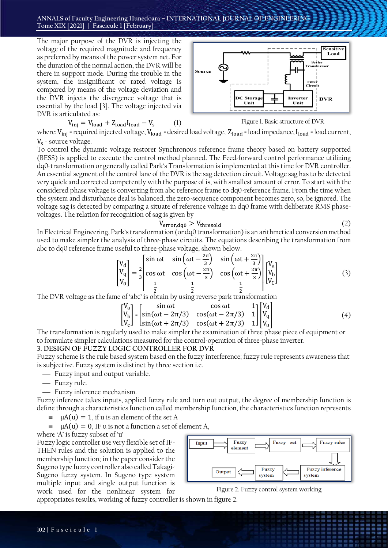The major purpose of the DVR is injecting the voltage of the required magnitude and frequency as preferred by means of the power system net. For the duration of the normal action, the DVR will be there in support mode. During the trouble in the system, the insignificant or rated voltage is compared by means of the voltage deviation and the DVR injects the divergence voltage that is essential by the load [3]. The voltage injected via DVR is articulated as:

$$
V_{\text{inj}} = V_{\text{load}} + Z_{\text{load}} I_{\text{load}} - V_{\text{s}} \tag{1}
$$



Figure 1. Basic structure of DVR

where: V<sub>inj</sub> = required injected voltage, V<sub>load</sub> = desired load voltage, Z<sub>load</sub> = load impedance, I<sub>load</sub> = load current,  $V_s$  = source voltage.

To control the dynamic voltage restorer Synchronous reference frame theory based on battery supported (BESS) is applied to execute the control method planned. The Feed-forward control performance utilizing dq0-transformation or generally called Park's Transformation is implemented at this time for DVR controller. An essential segment of the control lane of the DVR is the sag detection circuit. Voltage sag has to be detected very quick and corrected competently with the purpose of is, with smallest amount of error. To start with the considered phase voltage is converting from abc reference frame to dq0-reference frame. From the time when the system and disturbance deal is balanced, the zero-sequence component becomes zero, so, be ignored. The voltage sag is detected by comparing a situate of reference voltage in dq0 frame with deliberate RMS phasevoltages. The relation for recognition of sag is given by

$$
V_{error, dq0} > V_{threshold} \tag{2}
$$

In Electrical Engineering, Park's transformation (or dq0 transformation) is an arithmetical conversion method used to make simpler the analysis of three-phase circuits. The equations describing the transformation from abc to dq0 reference frame useful to three-phase voltage, shown below.

$$
\begin{bmatrix}\nV_d \\
V_q \\
V_0\n\end{bmatrix} = \frac{2}{3} \begin{bmatrix}\n\sin \omega t & \sin \left(\omega t - \frac{2\pi}{3}\right) & \sin \left(\omega t + \frac{2\pi}{3}\right) \\
\cos \omega t & \cos \left(\omega t - \frac{2\pi}{3}\right) & \cos \left(\omega t + \frac{2\pi}{3}\right) \\
\frac{1}{2} & \frac{1}{2} & \frac{1}{2}\n\end{bmatrix} \begin{bmatrix}\nV_a \\
V_b \\
V_c\n\end{bmatrix}
$$
\n(3)

The DVR voltage as the fame of 'abc' is obtain by using reverse park transformation

$$
\begin{bmatrix}\nV_a \\
V_b \\
V_c\n\end{bmatrix} = \begin{bmatrix}\n\sin \omega t & \cos \omega t & 1 \\
\sin(\omega t - 2\pi/3) & \cos(\omega t - 2\pi/3) & 1 \\
\sin(\omega t + 2\pi/3) & \cos(\omega t + 2\pi/3) & 1\n\end{bmatrix}\n\begin{bmatrix}\nV_d \\
V_q \\
V_0\n\end{bmatrix}
$$
\n(4)

The transformation is regularly used to make simpler the examination of three phase piece of equipment or to formulate simpler calculations measured for the control-operation of three-phase inverter.

#### **3. DESIGN OF FUZZY LOGIC CONTROLLER FOR DVR**

Fuzzy scheme is the rule based system based on the fuzzy interference; fuzzy rule represents awareness that is subjective. Fuzzy system is distinct by three section i.e.

- Fuzzy input and output variable.
- Fuzzy rule.
- Fuzzy inference mechanism.

Fuzzy inference takes inputs, applied fuzzy rule and turn out output, the degree of membership function is define through a characteristics function called membership function, the characteristics function represents

- $= \mu A(u) = 1$ , if u is an element of the set A
- $= \mu A(u) = 0$ , IF u is not a function a set of element A,

where 'A' is fuzzy subset of 'u'

Fuzzy logic controller use very flexible set of IF-THEN rules and the solution is applied to the membership function; in the paper consider the Sugeno type fuzzy controller also called Takagi-Sugeno fuzzy system. In Sugeno type system multiple input and single output function is work used for the nonlinear system for



Figure 2. Fuzzy control system working

appropriates results, working of fuzzy controller is shown in figure 2.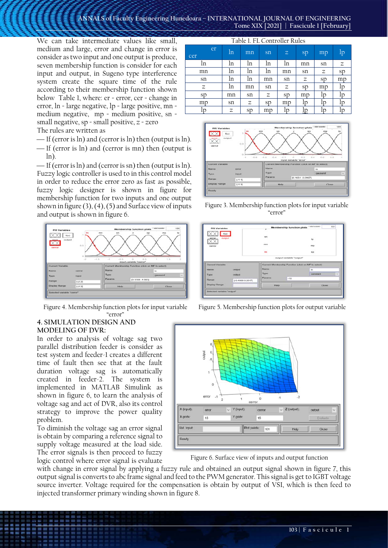We can take intermediate values like small, medium and large, error and change in error is consider as two input and one output is produce, seven membership function is consider for each input and output, in Sugeno type interference system create the square time of the rule according to their membership function shown below Table 1, where: er = error, cer = change in error, ln = large negative, lp = large positive, mn = medium negative, mp = medium positive, sn = small negative,  $sp = small$  positive,  $z = zero$ The rules are written as

- $\frac{1}{\pi}$  If (error is ln) and (cerror is ln) then (output is ln).
- If (error is ln) and (cerror is mn) then (output is ln).

— If (error is  $\ln$ ) and (cerror is sn) then (output is  $\ln$ ). Fuzzy logic controller is used to in this control model in order to reduce the error zero as fast as possible, fuzzy logic designer is shown in figure for membership function for two inputs and one output shown in figure  $(3)$ ,  $(4)$ ,  $(5)$  and Surface view of inputs and output is shown in figure 6.



Figure 4. Membership function plots for input variable "error"

## **4. SIMULATION DESIGN AND MODELING OF DVR:**

In order to analysis of voltage sag two parallel distribution feeder is consider as test system and feeder-1 creates a different time of fault then see that at the fault duration voltage sag is automatically created in feeder-2. The system is implemented in MATLAB Simulink as shown in figure 6, to learn the analysis of voltage sag and act of DVR, also its control strategy to improve the power quality problem.

To diminish the voltage sag an error signal is obtain by comparing a reference signal to supply voltage measured at the load side. The error signals is then proceed to fuzzy logic control where error signal is evaluate

| Table 1. FL Controller Rules |                            |                |    |             |                            |    |    |  |  |
|------------------------------|----------------------------|----------------|----|-------------|----------------------------|----|----|--|--|
| er<br>cer                    | ln                         | mn             | sn | $\mathbb Z$ | sp                         | mp | lp |  |  |
| ln                           | ln                         | ln             | ln | ln          | mn                         | sn | z  |  |  |
| mn                           | ln                         | ln             | ln | mn          | $\mathop{\rm sn}\nolimits$ | Ζ  | sp |  |  |
| sn                           | ln                         | ln             | mn | sn          | Ζ                          | sp | mp |  |  |
| Ζ                            | ln                         | mn             | sn | Ζ           | sp                         | mp | 1p |  |  |
| sp                           | mn                         | sn             | Ζ  | sp          | mp                         | Ιp |    |  |  |
| mp                           | $\mathop{\rm sn}\nolimits$ | Ζ              | sp | mp          | Þ                          | In | In |  |  |
| ID                           | Ζ                          | <sub>S</sub> p | mp | In          | Þ                          | In |    |  |  |



Figure 3. Membership function plots for input variable "error"



Figure 5. Membership function plots for output variable



Figure 6. Surface view of inputs and output function

with change in error signal by applying a fuzzy rule and obtained an output signal shown in figure 7, this output signal is converts to abc frame signal and feed to the PWM generator. This signal is get to IGBT voltage source inverter. Voltage required for the compensation is obtain by output of VSI, which is then feed to injected transformer primary winding shown in figure 8.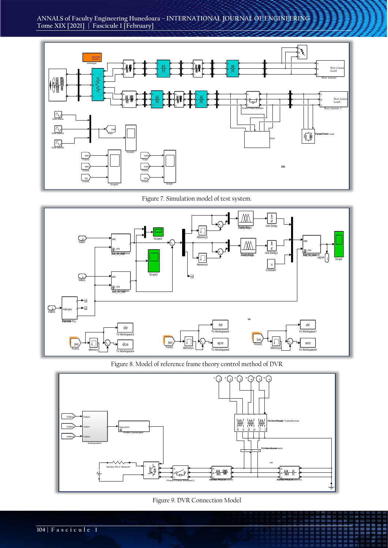



Figure 7. Simulation model of test system.



Figure 8. Model of reference frame theory control method of DVR





ENNES

■歴書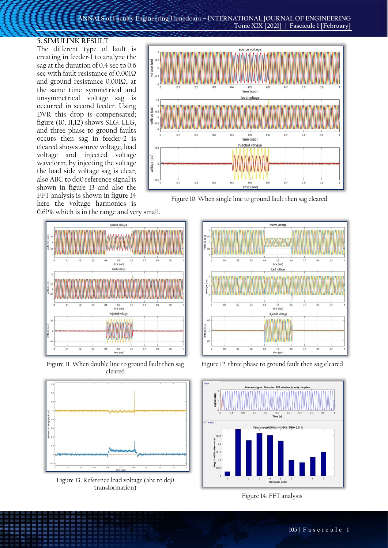#### **5. SIMULINK RESULT**

The different type of fault is creating in feeder-1 to analyze the sag at the duration of 0.4 sec to 0.6 sec with fault resistance of 0.001Ω and ground resistance 0.001Ω**,** at the same time symmetrical and unsymmetrical voltage sag is occurred in second feeder. Using DVR this drop is compensated; figure (10, 11,12) shows SLG, LLG, and three phase to ground faults occurs then sag in feeder-2 is cleared shows source voltage, load voltage and injected voltage waveform, by injecting the voltage the load side voltage sag is clear, also ABC to dq0 reference signal is shown in figure 13 and also the FFT analysis is shown in figure 14 here the voltage harmonics is



Figure 10. When single line to ground fault then sag cleared

0.61% which is in the range and very small.



Figure 11. When double line to ground fault then sag cleared



Figure 13. Reference load voltage (abc to dq0 transformation)



Figure 12. three phase to ground fault then sag cleared